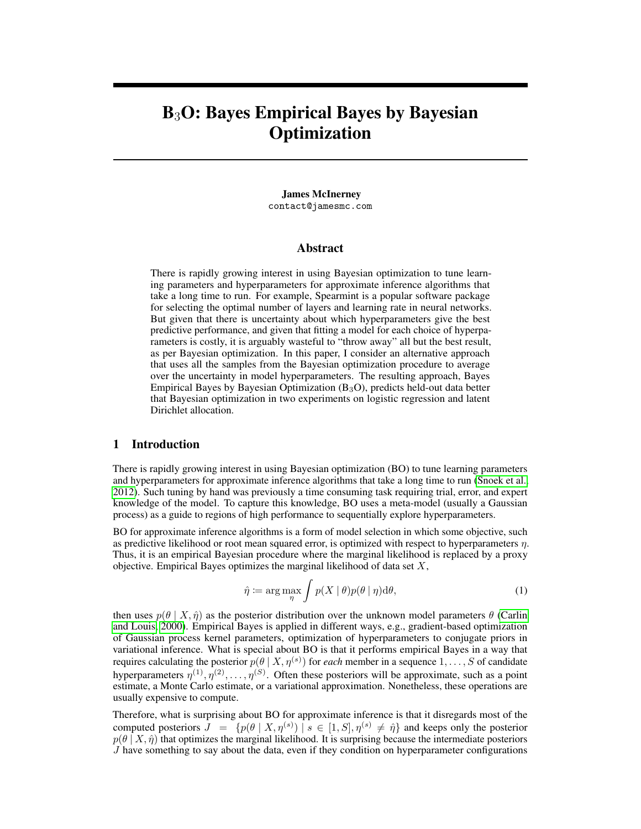# B3O: Bayes Empirical Bayes by Bayesian **Optimization**

James McInerney contact@jamesmc.com

### Abstract

There is rapidly growing interest in using Bayesian optimization to tune learning parameters and hyperparameters for approximate inference algorithms that take a long time to run. For example, Spearmint is a popular software package for selecting the optimal number of layers and learning rate in neural networks. But given that there is uncertainty about which hyperparameters give the best predictive performance, and given that fitting a model for each choice of hyperparameters is costly, it is arguably wasteful to "throw away" all but the best result, as per Bayesian optimization. In this paper, I consider an alternative approach that uses all the samples from the Bayesian optimization procedure to average over the uncertainty in model hyperparameters. The resulting approach, Bayes Empirical Bayes by Bayesian Optimization  $(B_3O)$ , predicts held-out data better that Bayesian optimization in two experiments on logistic regression and latent Dirichlet allocation.

#### <span id="page-0-1"></span>1 Introduction

There is rapidly growing interest in using Bayesian optimization (BO) to tune learning parameters and hyperparameters for approximate inference algorithms that take a long time to run [\(Snoek et al.,](#page-4-0) [2012\)](#page-4-0). Such tuning by hand was previously a time consuming task requiring trial, error, and expert knowledge of the model. To capture this knowledge, BO uses a meta-model (usually a Gaussian process) as a guide to regions of high performance to sequentially explore hyperparameters.

BO for approximate inference algorithms is a form of model selection in which some objective, such as predictive likelihood or root mean squared error, is optimized with respect to hyperparameters  $\eta$ . Thus, it is an empirical Bayesian procedure where the marginal likelihood is replaced by a proxy objective. Empirical Bayes optimizes the marginal likelihood of data set  $X$ ,

<span id="page-0-0"></span>
$$
\hat{\eta} \coloneqq \arg \max_{\eta} \int p(X \mid \theta) p(\theta \mid \eta) \mathrm{d}\theta,\tag{1}
$$

then uses  $p(\theta | X, \hat{\eta})$  as the posterior distribution over the unknown model parameters  $\theta$  [\(Carlin](#page-4-1) [and Louis, 2000\)](#page-4-1). Empirical Bayes is applied in different ways, e.g., gradient-based optimization of Gaussian process kernel parameters, optimization of hyperparameters to conjugate priors in variational inference. What is special about BO is that it performs empirical Bayes in a way that requires calculating the posterior  $p(\theta | X, \eta^{(s)})$  for *each* member in a sequence  $1, \ldots, S$  of candidate hyperparameters  $\eta^{(1)}, \eta^{(2)}, \ldots, \eta^{(S)}$ . Often these posteriors will be approximate, such as a point estimate, a Monte Carlo estimate, or a variational approximation. Nonetheless, these operations are usually expensive to compute.

Therefore, what is surprising about BO for approximate inference is that it disregards most of the computed posteriors  $J = \{p(\theta | X, \eta^{(s)}) \mid s \in [1, S], \eta^{(s)} \neq \hat{\eta}\}\$  and keeps only the posterior  $p(\theta | X, \hat{\eta})$  that optimizes the marginal likelihood. It is surprising because the intermediate posteriors  $J$  have something to say about the data, even if they condition on hyperparameter configurations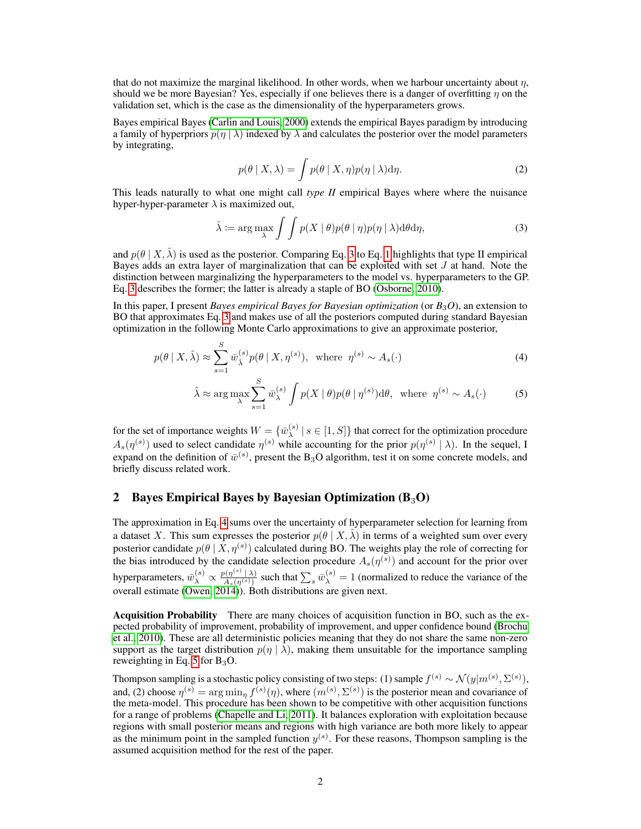that do not maximize the marginal likelihood. In other words, when we harbour uncertainty about  $\eta$ , should we be more Bayesian? Yes, especially if one believes there is a danger of overfitting  $\eta$  on the validation set, which is the case as the dimensionality of the hyperparameters grows.

Bayes empirical Bayes [\(Carlin and Louis, 2000\)](#page-4-1) extends the empirical Bayes paradigm by introducing a family of hyperpriors  $p(\eta | \lambda)$  indexed by  $\lambda$  and calculates the posterior over the model parameters by integrating,

<span id="page-1-0"></span>
$$
p(\theta \mid X, \lambda) = \int p(\theta \mid X, \eta) p(\eta \mid \lambda) d\eta.
$$
 (2)

This leads naturally to what one might call *type II* empirical Bayes where where the nuisance hyper-hyper-parameter  $\lambda$  is maximized out,

$$
\hat{\lambda} := \arg \max_{\lambda} \int \int p(X \mid \theta) p(\theta \mid \eta) p(\eta \mid \lambda) d\theta d\eta,
$$
\n(3)

and  $p(\theta | X, \hat{\lambda})$  is used as the posterior. Comparing Eq. [3](#page-1-0) to Eq. [1](#page-0-0) highlights that type II empirical Bayes adds an extra layer of marginalization that can be exploited with set  $J$  at hand. Note the distinction between marginalizing the hyperparameters to the model vs. hyperparameters to the GP. Eq. [3](#page-1-0) describes the former; the latter is already a staple of BO [\(Osborne, 2010\)](#page-4-2).

In this paper, I present *Bayes empirical Bayes for Bayesian optimization* (or *B*3*O*), an extension to BO that approximates Eq. [3](#page-1-0) and makes use of all the posteriors computed during standard Bayesian optimization in the following Monte Carlo approximations to give an approximate posterior,

$$
p(\theta \mid X, \hat{\lambda}) \approx \sum_{s=1}^{S} \bar{w}_{\hat{\lambda}}^{(s)} p(\theta \mid X, \eta^{(s)}), \text{ where } \eta^{(s)} \sim A_s(\cdot)
$$
 (4)

<span id="page-1-2"></span><span id="page-1-1"></span>
$$
\hat{\lambda} \approx \arg \max_{\lambda} \sum_{s=1}^{S} \bar{w}_{\lambda}^{(s)} \int p(X \mid \theta) p(\theta \mid \eta^{(s)}) \mathrm{d}\theta, \text{ where } \eta^{(s)} \sim A_s(\cdot) \tag{5}
$$

for the set of importance weights  $W = \{ \overline{w}_{\lambda}^{(s)} \}$  $\left\{ \mathbf{x}^{(s)} \mid s \in [1, S] \right\}$  that correct for the optimization procedure  $A_s(\eta^{(s)})$  used to select candidate  $\eta^{(s)}$  while accounting for the prior  $p(\eta^{(s)} | \lambda)$ . In the sequel, I expand on the definition of  $\bar{w}^{(s)}$ , present the B<sub>3</sub>O algorithm, test it on some concrete models, and briefly discuss related work.

# 2 Bayes Empirical Bayes by Bayesian Optimization  $(B_3O)$

The approximation in Eq. [4](#page-1-1) sums over the uncertainty of hyperparameter selection for learning from a dataset X. This sum expresses the posterior  $p(\theta | X, \hat{\lambda})$  in terms of a weighted sum over every posterior candidate  $p(\theta | X, \eta^{(s)})$  calculated during BO. The weights play the role of correcting for the bias introduced by the candidate selection procedure  $A_s(\eta^{(s)})$  and account for the prior over hyperparameters,  $\bar{w}_{\lambda}^{(s)} \propto \frac{p(\eta^{(s)} \mid \lambda)}{A_s(\eta^{(s)})}$  $\frac{\partial(\eta^{(s)}\mid\lambda)}{\partial(s(\eta^{(s)})}$  such that  $\sum_s \bar{w}_{\lambda}^{(s)} = 1$  (normalized to reduce the variance of the overall estimate [\(Owen, 2014\)](#page-4-3)). Both distributions are given next.

Acquisition Probability There are many choices of acquisition function in BO, such as the expected probability of improvement, probability of improvement, and upper confidence bound [\(Brochu](#page-4-4) [et al., 2010\)](#page-4-4). These are all deterministic policies meaning that they do not share the same non-zero support as the target distribution  $p(\eta | \lambda)$ , making them unsuitable for the importance sampling reweighting in Eq. [5](#page-1-2) for  $B_3O$ .

Thompson sampling is a stochastic policy consisting of two steps: (1) sample  $f^{(s)} \sim \mathcal{N}(y|m^{(s)},\Sigma^{(s)}),$ and, (2) choose  $\eta^{(s)} = \arg \min_{\eta} f^{(s)}(\eta)$ , where  $(m^{(s)}, \Sigma^{(s)})$  is the posterior mean and covariance of the meta-model. This procedure has been shown to be competitive with other acquisition functions for a range of problems [\(Chapelle and Li, 2011\)](#page-4-5). It balances exploration with exploitation because regions with small posterior means and regions with high variance are both more likely to appear as the minimum point in the sampled function  $y^{(s)}$ . For these reasons, Thompson sampling is the assumed acquisition method for the rest of the paper.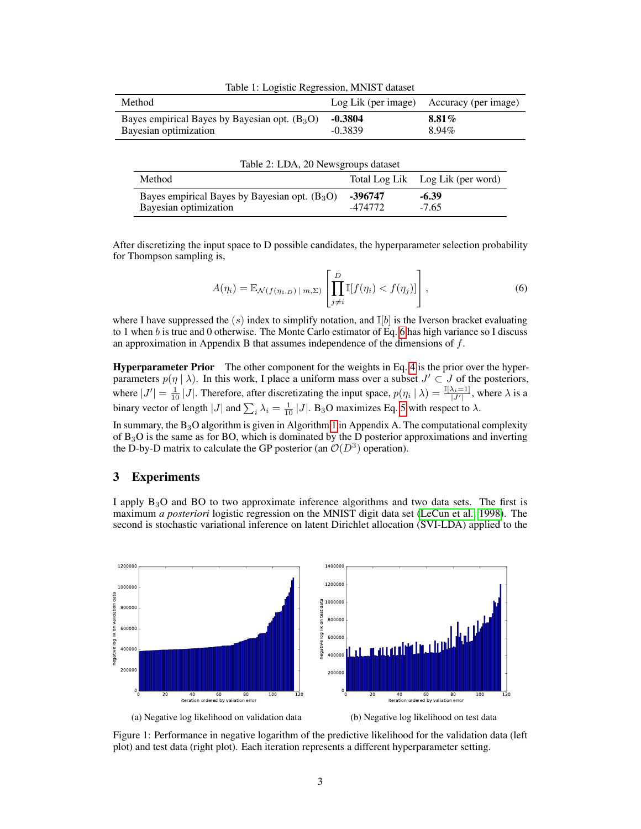| Table 1: Logistic Regression, MNIST dataset                              |                        |                      |  |
|--------------------------------------------------------------------------|------------------------|----------------------|--|
| Method                                                                   | Log Lik (per image)    | Accuracy (per image) |  |
| Bayes empirical Bayes by Bayesian opt. $(B_3O)$<br>Bayesian optimization | $-0.3804$<br>$-0.3839$ | $8.81\%$<br>$8.94\%$ |  |

| Table 2: LDA, 20 Newsgroups dataset                                                                                                                                                                                                                                                                         |  |  |
|-------------------------------------------------------------------------------------------------------------------------------------------------------------------------------------------------------------------------------------------------------------------------------------------------------------|--|--|
| $\mathbf{m}$ , $\mathbf{m}$ , $\mathbf{m}$ , $\mathbf{m}$ , $\mathbf{m}$ , $\mathbf{m}$ , $\mathbf{m}$ , $\mathbf{m}$ , $\mathbf{m}$ , $\mathbf{m}$ , $\mathbf{m}$ , $\mathbf{m}$ , $\mathbf{m}$ , $\mathbf{m}$ , $\mathbf{m}$ , $\mathbf{m}$ , $\mathbf{m}$ , $\mathbf{m}$ , $\mathbf{m}$ , $\mathbf{m}$ , |  |  |

| Method                                          |         | Total Log Lik Log Lik (per word) |
|-------------------------------------------------|---------|----------------------------------|
| Bayes empirical Bayes by Bayesian opt. $(B_3O)$ | -396747 | $-6.39$                          |
| Bayesian optimization                           | -474772 | $-7.65$                          |

After discretizing the input space to D possible candidates, the hyperparameter selection probability for Thompson sampling is,

<span id="page-2-0"></span>
$$
A(\eta_i) = \mathbb{E}_{\mathcal{N}(f(\eta_{1:D}) \mid m, \Sigma)} \left[ \prod_{j \neq i}^{D} \mathbb{I}[f(\eta_i) < f(\eta_j)] \right],\tag{6}
$$

where I have suppressed the (s) index to simplify notation, and  $\mathbb{I}[b]$  is the Iverson bracket evaluating to 1 when  $b$  is true and 0 otherwise. The Monte Carlo estimator of Eq. [6](#page-2-0) has high variance so I discuss an approximation in Appendix B that assumes independence of the dimensions of  $f$ .

**Hyperparameter Prior** The other component for the weights in Eq. [4](#page-1-1) is the prior over the hyperparameters  $p(\eta | \lambda)$ . In this work, I place a uniform mass over a subset  $J' \subset J$  of the posteriors, where  $|J'| = \frac{1}{10} |J|$ . Therefore, after discretizating the input space,  $p(\eta_i | \lambda) = \frac{\mathbb{I}[\lambda_i = 1]}{|J'|}$ , where  $\lambda$  is a binary vector of length |J| and  $\sum_i \lambda_i = \frac{1}{10} |J|$ . B<sub>3</sub>O maximizes Eq. [5](#page-1-2) with respect to  $\lambda$ .

In summary, the  $B_3O$  algorithm is given in Algorithm [1](#page-4-6) in Appendix A. The computational complexity of B3O is the same as for BO, which is dominated by the D posterior approximations and inverting the D-by-D matrix to calculate the GP posterior (an  $\mathcal{O}(D^3)$  operation).

# 3 Experiments

I apply B3O and BO to two approximate inference algorithms and two data sets. The first is maximum *a posteriori* logistic regression on the MNIST digit data set [\(LeCun et al., 1998\)](#page-4-7). The second is stochastic variational inference on latent Dirichlet allocation (SVI-LDA) applied to the

<span id="page-2-1"></span>

Figure 1: Performance in negative logarithm of the predictive likelihood for the validation data (left plot) and test data (right plot). Each iteration represents a different hyperparameter setting.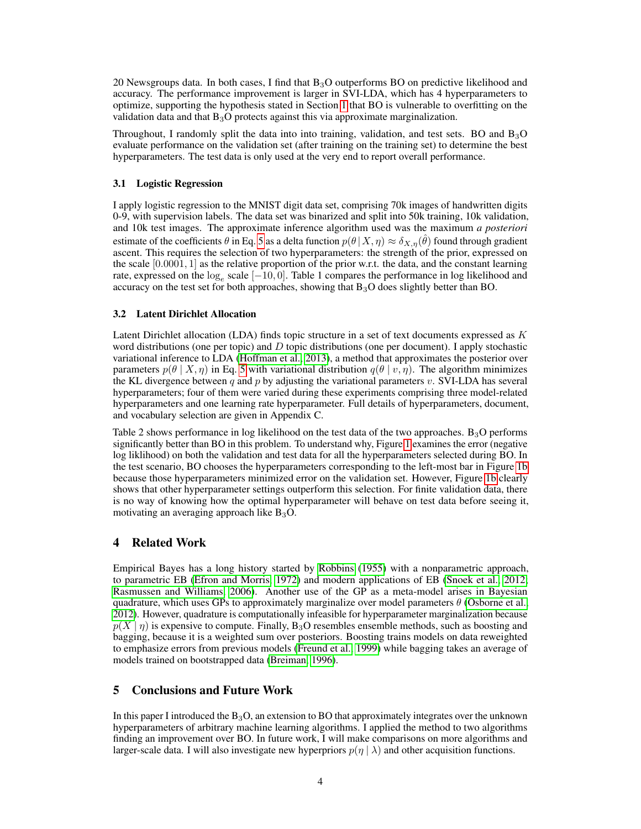20 Newsgroups data. In both cases, I find that  $B_3O$  outperforms BO on predictive likelihood and accuracy. The performance improvement is larger in SVI-LDA, which has 4 hyperparameters to optimize, supporting the hypothesis stated in Section [1](#page-0-1) that BO is vulnerable to overfitting on the validation data and that  $B_3O$  protects against this via approximate marginalization.

Throughout, I randomly split the data into into training, validation, and test sets. BO and  $B_3O$ evaluate performance on the validation set (after training on the training set) to determine the best hyperparameters. The test data is only used at the very end to report overall performance.

#### 3.1 Logistic Regression

I apply logistic regression to the MNIST digit data set, comprising 70k images of handwritten digits 0-9, with supervision labels. The data set was binarized and split into 50k training, 10k validation, and 10k test images. The approximate inference algorithm used was the maximum *a posteriori* estimate of the coefficients  $\theta$  in Eq. [5](#page-1-2) as a delta function  $p(\theta|X,\eta) \approx \delta_{X,\eta}(\hat{\theta})$  found through gradient ascent. This requires the selection of two hyperparameters: the strength of the prior, expressed on the scale  $[0.0001, 1]$  as the relative proportion of the prior w.r.t. the data, and the constant learning rate, expressed on the  $log_e$  scale  $[-10, 0]$ . Table 1 compares the performance in log likelihood and accuracy on the test set for both approaches, showing that  $B_3O$  does slightly better than BO.

#### <span id="page-3-0"></span>3.2 Latent Dirichlet Allocation

Latent Dirichlet allocation (LDA) finds topic structure in a set of text documents expressed as K word distributions (one per topic) and D topic distributions (one per document). I apply stochastic variational inference to LDA [\(Hoffman et al., 2013\)](#page-4-8), a method that approximates the posterior over parameters  $p(\theta | X, \eta)$  in Eq. [5](#page-1-2) with variational distribution  $q(\theta | v, \eta)$ . The algorithm minimizes the KL divergence between q and p by adjusting the variational parameters v. SVI-LDA has several hyperparameters; four of them were varied during these experiments comprising three model-related hyperparameters and one learning rate hyperparameter. Full details of hyperparameters, document, and vocabulary selection are given in Appendix C.

Table 2 shows performance in log likelihood on the test data of the two approaches.  $B_3O$  performs significantly better than BO in this problem. To understand why, Figure [1](#page-2-1) examines the error (negative log liklihood) on both the validation and test data for all the hyperparameters selected during BO. In the test scenario, BO chooses the hyperparameters corresponding to the left-most bar in Figure [1b](#page-2-1) because those hyperparameters minimized error on the validation set. However, Figure [1b](#page-2-1) clearly shows that other hyperparameter settings outperform this selection. For finite validation data, there is no way of knowing how the optimal hyperparameter will behave on test data before seeing it, motivating an averaging approach like  $B_3O$ .

#### 4 Related Work

Empirical Bayes has a long history started by [Robbins](#page-4-9) [\(1955\)](#page-4-9) with a nonparametric approach, to parametric EB [\(Efron and Morris, 1972\)](#page-4-10) and modern applications of EB [\(Snoek et al., 2012;](#page-4-0) [Rasmussen and Williams, 2006\)](#page-4-11). Another use of the GP as a meta-model arises in Bayesian quadrature, which uses GPs to approximately marginalize over model parameters  $\theta$  [\(Osborne et al.,](#page-4-12) [2012\)](#page-4-12). However, quadrature is computationally infeasible for hyperparameter marginalization because  $p(X | \eta)$  is expensive to compute. Finally, B<sub>3</sub>O resembles ensemble methods, such as boosting and bagging, because it is a weighted sum over posteriors. Boosting trains models on data reweighted to emphasize errors from previous models [\(Freund et al., 1999\)](#page-4-13) while bagging takes an average of models trained on bootstrapped data [\(Breiman, 1996\)](#page-4-14).

## 5 Conclusions and Future Work

In this paper I introduced the  $B_3O$ , an extension to BO that approximately integrates over the unknown hyperparameters of arbitrary machine learning algorithms. I applied the method to two algorithms finding an improvement over BO. In future work, I will make comparisons on more algorithms and larger-scale data. I will also investigate new hyperpriors  $p(\eta | \lambda)$  and other acquisition functions.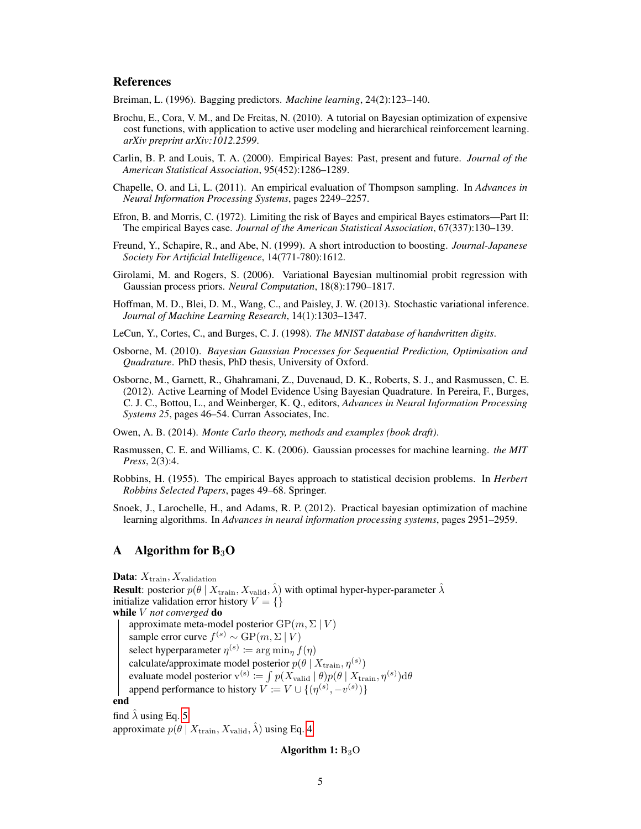#### References

<span id="page-4-14"></span>Breiman, L. (1996). Bagging predictors. *Machine learning*, 24(2):123–140.

- <span id="page-4-4"></span>Brochu, E., Cora, V. M., and De Freitas, N. (2010). A tutorial on Bayesian optimization of expensive cost functions, with application to active user modeling and hierarchical reinforcement learning. *arXiv preprint arXiv:1012.2599*.
- <span id="page-4-1"></span>Carlin, B. P. and Louis, T. A. (2000). Empirical Bayes: Past, present and future. *Journal of the American Statistical Association*, 95(452):1286–1289.
- <span id="page-4-5"></span>Chapelle, O. and Li, L. (2011). An empirical evaluation of Thompson sampling. In *Advances in Neural Information Processing Systems*, pages 2249–2257.
- <span id="page-4-10"></span>Efron, B. and Morris, C. (1972). Limiting the risk of Bayes and empirical Bayes estimators—Part II: The empirical Bayes case. *Journal of the American Statistical Association*, 67(337):130–139.
- <span id="page-4-13"></span>Freund, Y., Schapire, R., and Abe, N. (1999). A short introduction to boosting. *Journal-Japanese Society For Artificial Intelligence*, 14(771-780):1612.
- <span id="page-4-15"></span>Girolami, M. and Rogers, S. (2006). Variational Bayesian multinomial probit regression with Gaussian process priors. *Neural Computation*, 18(8):1790–1817.
- <span id="page-4-8"></span>Hoffman, M. D., Blei, D. M., Wang, C., and Paisley, J. W. (2013). Stochastic variational inference. *Journal of Machine Learning Research*, 14(1):1303–1347.
- <span id="page-4-7"></span>LeCun, Y., Cortes, C., and Burges, C. J. (1998). *The MNIST database of handwritten digits*.
- <span id="page-4-2"></span>Osborne, M. (2010). *Bayesian Gaussian Processes for Sequential Prediction, Optimisation and Quadrature*. PhD thesis, PhD thesis, University of Oxford.
- <span id="page-4-12"></span>Osborne, M., Garnett, R., Ghahramani, Z., Duvenaud, D. K., Roberts, S. J., and Rasmussen, C. E. (2012). Active Learning of Model Evidence Using Bayesian Quadrature. In Pereira, F., Burges, C. J. C., Bottou, L., and Weinberger, K. Q., editors, *Advances in Neural Information Processing Systems 25*, pages 46–54. Curran Associates, Inc.

<span id="page-4-3"></span>Owen, A. B. (2014). *Monte Carlo theory, methods and examples (book draft)*.

- <span id="page-4-11"></span>Rasmussen, C. E. and Williams, C. K. (2006). Gaussian processes for machine learning. *the MIT Press*, 2(3):4.
- <span id="page-4-9"></span>Robbins, H. (1955). The empirical Bayes approach to statistical decision problems. In *Herbert Robbins Selected Papers*, pages 49–68. Springer.
- <span id="page-4-0"></span>Snoek, J., Larochelle, H., and Adams, R. P. (2012). Practical bayesian optimization of machine learning algorithms. In *Advances in neural information processing systems*, pages 2951–2959.

## A Algorithm for  $B_3O$

**Data:**  $X_{\text{train}}, X_{\text{validation}}$ **Result**: posterior  $p(\theta | X_{\text{train}}, X_{\text{valid}}, \hat{\lambda})$  with optimal hyper-hyper-parameter  $\hat{\lambda}$ initialize validation error history  $V = \{\}$ while V *not converged* do approximate meta-model posterior  $GP(m, \Sigma | V)$ sample error curve  $f^{(s)} \sim \text{GP}(m, \Sigma | V)$ select hyperparameter  $\eta^{(s)} \coloneqq \arg \min_{\eta} f(\eta)$ calculate/approximate model posterior  $p(\theta | X_{\text{train}}, \eta^{(s)})$ evaluate model posterior  $v^{(s)} \coloneqq \int p(X_{valid} | \theta) p(\theta | X_{train}, \eta^{(s)}) d\theta$ append performance to history  $V \coloneqq V \cup \{(\eta^{(s)}, -v^{(s)})\}$ end find  $\lambda$  using Eq. [5](#page-1-2)

approximate  $p(\theta | X_{\text{train}}, X_{\text{valid}}, \hat{\lambda})$  using Eq. [4](#page-1-1)

#### <span id="page-4-6"></span>Algorithm 1:  $B_3O$